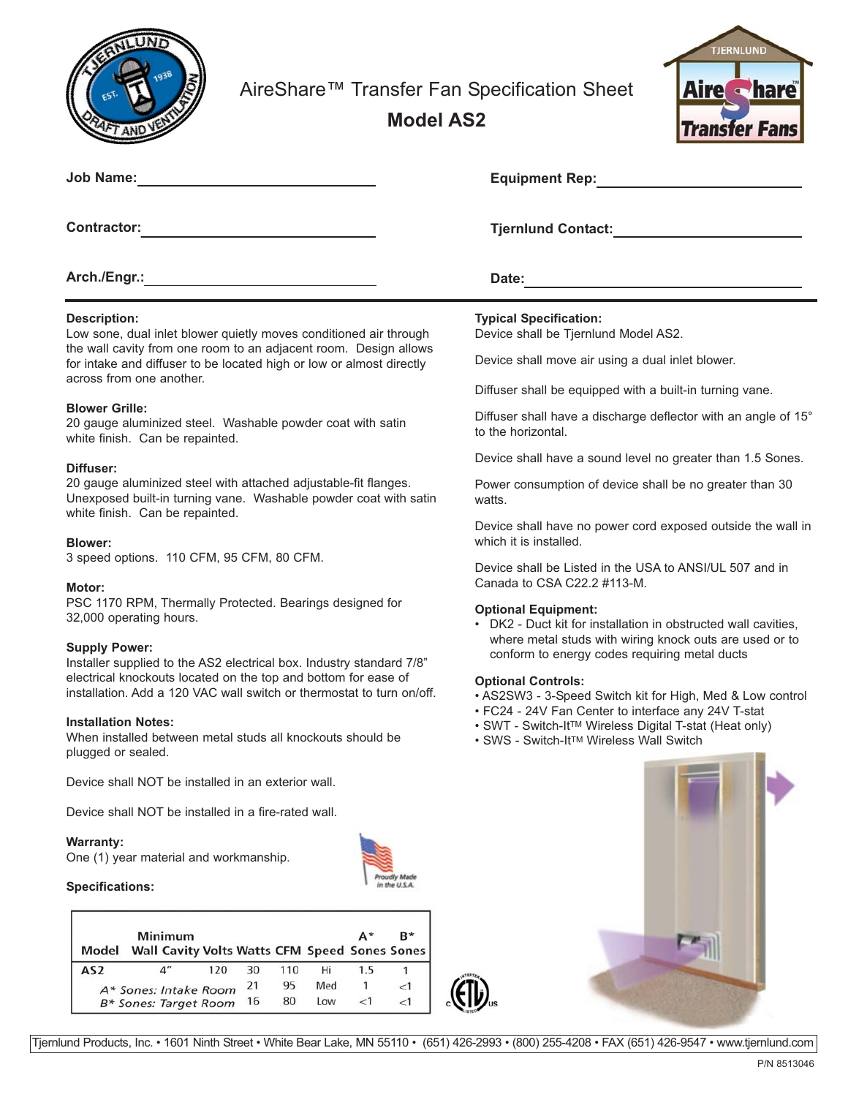

AireShare™ Transfer Fan Specification Sheet

**Model AS2**



| <b>Job Name:</b>                                                     | <b>Equipment Rep:</b>                            |
|----------------------------------------------------------------------|--------------------------------------------------|
| <b>Contractor:</b>                                                   | <b>Tjernlund Contact:</b>                        |
| Arch./Engr.:                                                         | Date:                                            |
| <b>Description:</b>                                                  | <b>Typical Specification:</b>                    |
| Low sone, dual inlet blower quietly moves conditioned air through    | Device shall be Tiernlund Model AS2.             |
| the wall cavity from one room to an adjacent room. Design allows     |                                                  |
| for intake and diffuser to be located high or low or almost directly | Device shall move air using a dual inlet blower. |

Diffuser shall be equipped with a built-in turning vane.

Diffuser shall have a discharge deflector with an angle of 15° to the horizontal.

Device shall have a sound level no greater than 1.5 Sones.

Power consumption of device shall be no greater than 30 watts.

Device shall have no power cord exposed outside the wall in which it is installed.

Device shall be Listed in the USA to ANSI/UL 507 and in Canada to CSA C22.2  $\#113-M$ .

# **Optional Equipment:**

• DK2 - Duct kit for installation in obstructed wall cavities, where metal studs with wiring knock outs are used or to conform to energy codes requiring metal ducts

### **Optional Controls:**

- AS2SW3 3-Speed Switch kit for High, Med & Low control
- FC24 24V Fan Center to interface any 24V T-stat
- SWT Switch-It<sup>™</sup> Wireless Digital T-stat (Heat only)
- SWS Switch-ItTM Wireless Wall Switch





for intake and diffuser to be located high or low or almost directly across from one another.

### **Blower Grille:**

20 gauge aluminized steel. Washable powder coat with satin white finish. Can be repainted.

# **Diffuser:**

20 gauge aluminized steel with attached adjustable-fit flanges. Unexposed built-in turning vane. Washable powder coat with satin white finish. Can be repainted.

### **Blower:**

3 speed options. 110 CFM, 95 CFM, 80 CFM.

### **Motor:**

PSC 1170 RPM, Thermally Protected. Bearings designed for 32,000 operating hours.

### **Supply Power:**

Installer supplied to the AS2 electrical box. Industry standard 7/8" electrical knockouts located on the top and bottom for ease of installation. Add a 120 VAC wall switch or thermostat to turn on/off.

## **Installation Notes:**

When installed between metal studs all knockouts should be plugged or sealed.

Device shall NOT be installed in an exterior wall.

Device shall NOT be installed in a fire-rated wall.

### **Warranty:**

One (1) year material and workmanship.



### **Specifications:**



Tjernlund Products, Inc. • 1601 Ninth Street • White Bear Lake, MN 55110 • (651) 426-2993 • (800) 255-4208 • FAX (651) 426-9547 • www.tjernlund.com